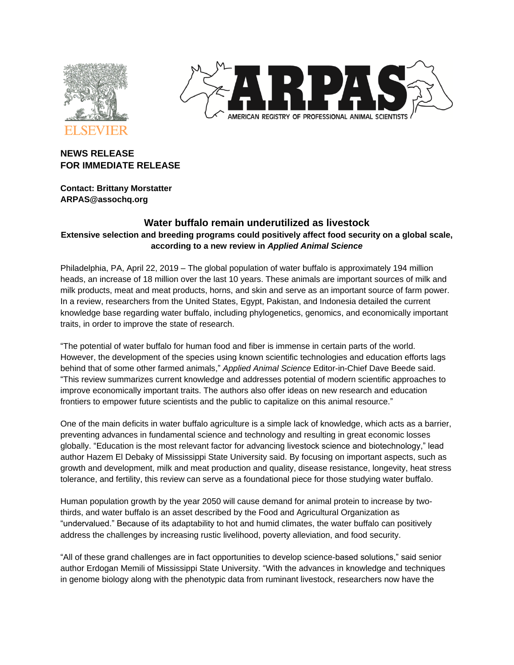



# **NEWS RELEASE FOR IMMEDIATE RELEASE**

**Contact: Brittany Morstatter ARPAS@assochq.org**

# **Water buffalo remain underutilized as livestock Extensive selection and breeding programs could positively affect food security on a global scale, according to a new review in** *Applied Animal Science*

Philadelphia, PA, April 22, 2019 – The global population of water buffalo is approximately 194 million heads, an increase of 18 million over the last 10 years. These animals are important sources of milk and milk products, meat and meat products, horns, and skin and serve as an important source of farm power. In a review, researchers from the United States, Egypt, Pakistan, and Indonesia detailed the current knowledge base regarding water buffalo, including phylogenetics, genomics, and economically important traits, in order to improve the state of research.

"The potential of water buffalo for human food and fiber is immense in certain parts of the world. However, the development of the species using known scientific technologies and education efforts lags behind that of some other farmed animals," *Applied Animal Science* Editor-in-Chief Dave Beede said. "This review summarizes current knowledge and addresses potential of modern scientific approaches to improve economically important traits. The authors also offer ideas on new research and education frontiers to empower future scientists and the public to capitalize on this animal resource."

One of the main deficits in water buffalo agriculture is a simple lack of knowledge, which acts as a barrier, preventing advances in fundamental science and technology and resulting in great economic losses globally. "Education is the most relevant factor for advancing livestock science and biotechnology," lead author Hazem El Debaky of Mississippi State University said. By focusing on important aspects, such as growth and development, milk and meat production and quality, disease resistance, longevity, heat stress tolerance, and fertility, this review can serve as a foundational piece for those studying water buffalo.

Human population growth by the year 2050 will cause demand for animal protein to increase by twothirds, and water buffalo is an asset described by the Food and Agricultural Organization as "undervalued." Because of its adaptability to hot and humid climates, the water buffalo can positively address the challenges by increasing rustic livelihood, poverty alleviation, and food security.

"All of these grand challenges are in fact opportunities to develop science-based solutions," said senior author Erdogan Memili of Mississippi State University. "With the advances in knowledge and techniques in genome biology along with the phenotypic data from ruminant livestock, researchers now have the